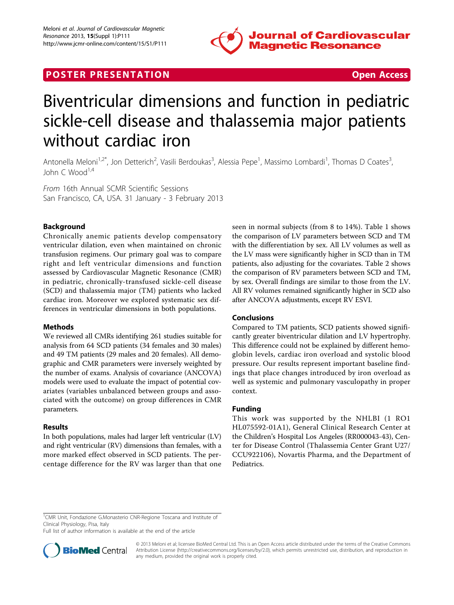

# **POSTER PRESENTATION CONSUMING THE SERVICE SERVICE SERVICES**

# Biventricular dimensions and function in pediatric sickle-cell disease and thalassemia major patients without cardiac iron

Antonella Meloni<sup>1,2\*</sup>, Jon Detterich<sup>2</sup>, Vasili Berdoukas<sup>3</sup>, Alessia Pepe<sup>1</sup>, Massimo Lombardi<sup>1</sup>, Thomas D Coates<sup>3</sup> , John C Wood<sup>1,4</sup>

From 16th Annual SCMR Scientific Sessions San Francisco, CA, USA. 31 January - 3 February 2013

# Background

Chronically anemic patients develop compensatory ventricular dilation, even when maintained on chronic transfusion regimens. Our primary goal was to compare right and left ventricular dimensions and function assessed by Cardiovascular Magnetic Resonance (CMR) in pediatric, chronically-transfused sickle-cell disease (SCD) and thalassemia major (TM) patients who lacked cardiac iron. Moreover we explored systematic sex differences in ventricular dimensions in both populations.

## Methods

We reviewed all CMRs identifying 261 studies suitable for analysis from 64 SCD patients (34 females and 30 males) and 49 TM patients (29 males and 20 females). All demographic and CMR parameters were inversely weighted by the number of exams. Analysis of covariance (ANCOVA) models were used to evaluate the impact of potential covariates (variables unbalanced between groups and associated with the outcome) on group differences in CMR parameters.

## Results

In both populations, males had larger left ventricular (LV) and right ventricular (RV) dimensions than females, with a more marked effect observed in SCD patients. The percentage difference for the RV was larger than that one seen in normal subjects (from 8 to 14%). Table [1](#page-1-0) shows the comparison of LV parameters between SCD and TM with the differentiation by sex. All LV volumes as well as the LV mass were significantly higher in SCD than in TM patients, also adjusting for the covariates. Table [2](#page-1-0) shows the comparison of RV parameters between SCD and TM, by sex. Overall findings are similar to those from the LV. All RV volumes remained significantly higher in SCD also after ANCOVA adjustments, except RV ESVI.

## Conclusions

Compared to TM patients, SCD patients showed significantly greater biventricular dilation and LV hypertrophy. This difference could not be explained by different hemoglobin levels, cardiac iron overload and systolic blood pressure. Our results represent important baseline findings that place changes introduced by iron overload as well as systemic and pulmonary vasculopathy in proper context.

## Funding

This work was supported by the NHLBI (1 RO1 HL075592-01A1), General Clinical Research Center at the Children's Hospital Los Angeles (RR000043-43), Center for Disease Control (Thalassemia Center Grant U27/ CCU922106), Novartis Pharma, and the Department of Pediatrics.

Full list of author information is available at the end of the article



© 2013 Meloni et al; licensee BioMed Central Ltd. This is an Open Access article distributed under the terms of the Creative Commons Attribution License [\(http://creativecommons.org/licenses/by/2.0](http://creativecommons.org/licenses/by/2.0)), which permits unrestricted use, distribution, and reproduction in any medium, provided the original work is properly cited.

<sup>&</sup>lt;sup>1</sup>CMR Unit, Fondazione G.Monasterio CNR-Regione Toscana and Institute of Clinical Physiology, Pisa, Italy